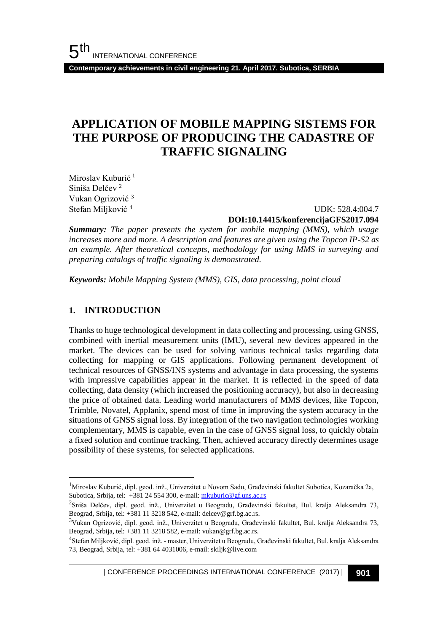**Contemporary achievements in civil engineering 21. April 2017. Subotica, SERBIA**

# **APPLICATION OF MOBILE MAPPING SISTEMS FOR THE PURPOSE OF PRODUCING THE CADASTRE OF TRAFFIC SIGNALING**

Miroslav Kuburić<sup>1</sup> Siniša Delčev<sup>2</sup> Vukan Ogrizović <sup>3</sup> Stefan Miljković <sup>4</sup>

 UDK: 528.4:004.7 **DOI:10.14415/konferencijaGFS2017.094**

*Summary: The paper presents the system for mobile mapping (MMS), which usage increases more and more. A description and features are given using the Topcon IP-S2 as an example. After theoretical concepts, methodology for using MMS in surveying and preparing catalogs of traffic signaling is demonstrated.*

*Keywords: Mobile Mapping System (MMS), GIS, data processing, point cloud*

### **1. INTRODUCTION**

l

Thanks to huge technological development in data collecting and processing, using GNSS, combined with inertial measurement units (IMU), several new devices appeared in the market. The devices can be used for solving various technical tasks regarding data collecting for mapping or GIS applications. Following permanent development of technical resources of GNSS/INS systems and advantage in data processing, the systems with impressive capabilities appear in the market. It is reflected in the speed of data collecting, data density (which increased the positioning accuracy), but also in decreasing the price of obtained data. Leading world manufacturers of MMS devices, like Topcon, Trimble, Novatel, Applanix, spend most of time in improving the system accuracy in the situations of GNSS signal loss. By integration of the two navigation technologies working complementary, MMS is capable, even in the case of GNSS signal loss, to quickly obtain a fixed solution and continue tracking. Then, achieved accuracy directly determines usage possibility of these systems, for selected applications.

| CONFERENCE PROCEEDINGS INTERNATIONAL CONFERENCE (2017) <sup>|</sup>**901**

<sup>1</sup>Miroslav Kuburić, dipl. geod. inž., Univerzitet u Novom Sadu, Građevinski fakultet Subotica, Kozaračka 2a, Subotica, Srbija, tel: +381 24 554 300, e-mail[: mkuburic@gf.uns.ac.rs](mailto:mkuburic@gf.uns.ac.rs)

<sup>&</sup>lt;sup>2</sup>Sniša Delčev, dipl. geod. inž., Univerzitet u Beogradu, Građevinski fakultet, Bul. kralja Aleksandra 73, Beograd, Srbija, tel: +381 11 3218 542, e-mail: delcev@grf.bg.ac.rs.

<sup>3</sup>Vukan Ogrizović, dipl. geod. inž., Univerzitet u Beogradu, Građevinski fakultet, Bul. kralja Aleksandra 73, Beograd, Srbija, tel: +381 11 3218 582, e-mail: vukan@grf.bg.ac.rs.

<sup>&</sup>lt;sup>4</sup>Stefan Miljković, dipl. geod. inž. - master, Univerzitet u Beogradu, Građevinski fakultet, Bul. kralja Aleksandra 73, Beograd, Srbija, tel: +381 64 4031006, e-mail: skiljk@live.com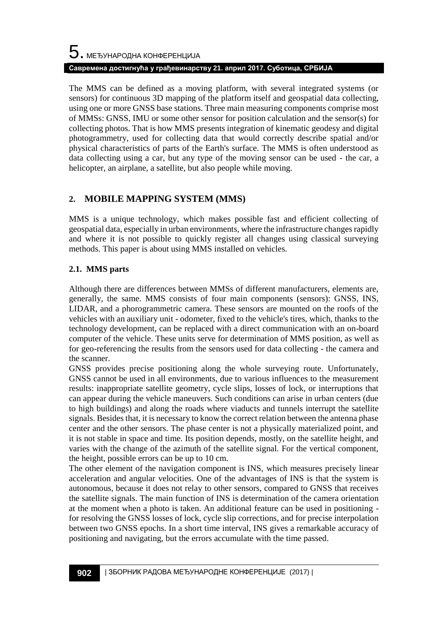# $5$ . међународна конференција **Савремена достигнућа у грађевинарству 21. април 2017. Суботица, СРБИЈА**

The MMS can be defined as a moving platform, with several integrated systems (or sensors) for continuous 3D mapping of the platform itself and geospatial data collecting, using one or more GNSS base stations. Three main measuring components comprise most of MMSs: GNSS, IMU or some other sensor for position calculation and the sensor(s) for collecting photos. That is how MMS presents integration of kinematic geodesy and digital photogrammetry, used for collecting data that would correctly describe spatial and/or physical characteristics of parts of the Earth's surface. The MMS is often understood as data collecting using a car, but any type of the moving sensor can be used - the car, a helicopter, an airplane, a satellite, but also people while moving.

# **2. MOBILE MAPPING SYSTEM (MMS)**

MMS is a unique technology, which makes possible fast and efficient collecting of geospatial data, especially in urban environments, where the infrastructure changes rapidly and where it is not possible to quickly register all changes using classical surveying methods. This paper is about using MMS installed on vehicles.

### **2.1. MMS parts**

Although there are differences between MMSs of different manufacturers, elements are, generally, the same. MMS consists of four main components (sensors): GNSS, INS, LIDAR, and a phorogrammetric camera. These sensors are mounted on the roofs of the vehicles with an auxiliary unit - odometer, fixed to the vehicle's tires, which, thanks to the technology development, can be replaced with a direct communication with an on-board computer of the vehicle. These units serve for determination of MMS position, as well as for geo-referencing the results from the sensors used for data collecting - the camera and the scanner.

GNSS provides precise positioning along the whole surveying route. Unfortunately, GNSS cannot be used in all environments, due to various influences to the measurement results: inappropriate satellite geometry, cycle slips, losses of lock, or interruptions that can appear during the vehicle maneuvers. Such conditions can arise in urban centers (due to high buildings) and along the roads where viaducts and tunnels interrupt the satellite signals. Besides that, it is necessary to know the correct relation between the antenna phase center and the other sensors. The phase center is not a physically materialized point, and it is not stable in space and time. Its position depends, mostly, on the satellite height, and varies with the change of the azimuth of the satellite signal. For the vertical component, the height, possible errors can be up to 10 cm.

The other element of the navigation component is INS, which measures precisely linear acceleration and angular velocities. One of the advantages of INS is that the system is autonomous, because it does not relay to other sensors, compared to GNSS that receives the satellite signals. The main function of INS is determination of the camera orientation at the moment when a photo is taken. An additional feature can be used in positioning for resolving the GNSS losses of lock, cycle slip corrections, and for precise interpolation between two GNSS epochs. In a short time interval, INS gives a remarkable accuracy of positioning and navigating, but the errors accumulate with the time passed.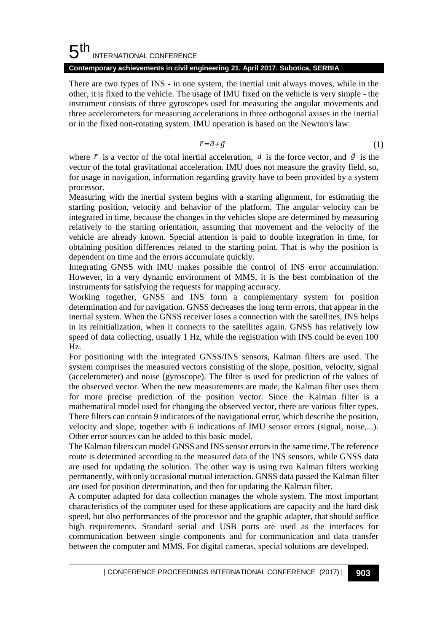#### 5 th INTERNATIONAL CONFERENCE

### **Contemporary achievements in civil engineering 21. April 2017. Subotica, SERBIA**

There are two types of INS - in one system, the inertial unit always moves, while in the other, it is fixed to the vehicle. The usage of IMU fixed on the vehicle is very simple - the instrument consists of three gyroscopes used for measuring the angular movements and three accelerometers for measuring accelerations in three orthogonal axises in the inertial or in the fixed non-rotating system. IMU operation is based on the Newton's law: **gineering 21. April 2017. Subotica, SERBIA**<br>
system, the inertial unit always moves, while in the<br>
age of IMU fixed on the vehicle is very simple - the<br>
des used for measuring the angular movements and<br>
ccelerations in t

$$
\vec{r} = \vec{a} + \vec{g} \tag{1}
$$

where  $\vec{r}$  is a vector of the total inertial acceleration,  $\vec{a}$  is the force vector, and  $\vec{g}$  is the vector of the total gravitational acceleration. IMU does not measure the gravity field, so, for usage in navigation, information regarding gravity have to been provided by a system processor.

Measuring with the inertial system begins with a starting alignment, for estimating the starting position, velocity and behavior of the platform. The angular velocity can be integrated in time, because the changes in the vehicles slope are determined by measuring relatively to the starting orientation, assuming that movement and the velocity of the vehicle are already known. Special attention is paid to double integration in time, for obtaining position differences related to the starting point. That is why the position is dependent on time and the errors accumulate quickly.

Integrating GNSS with IMU makes possible the control of INS error accumulation. However, in a very dynamic environment of MMS, it is the best combination of the instruments for satisfying the requests for mapping accuracy.

Working together, GNSS and INS form a complementary system for position determination and for navigation. GNSS decreases the long term errors, that appear in the inertial system. When the GNSS receiver loses a connection with the satellites, INS helps in its reinitialization, when it connects to the satellites again. GNSS has relatively low speed of data collecting, usually 1 Hz, while the registration with INS could be even 100 Hz.

For positioning with the integrated GNSS/INS sensors, Kalman filters are used. The system comprises the measured vectors consisting of the slope, position, velocity, signal (accelerometer) and noise (gyroscope). The filter is used for prediction of the values of the observed vector. When the new measurements are made, the Kalman filter uses them for more precise prediction of the position vector. Since the Kalman filter is a mathematical model used for changing the observed vector, there are various filter types. There filters can contain 9 indicators of the navigational error, which describe the position, velocity and slope, together with 6 indications of IMU sensor errors (signal, noise,...). Other error sources can be added to this basic model.

The Kalman filters can model GNSS and INS sensor errors in the same time. The reference route is determined according to the measured data of the INS sensors, while GNSS data are used for updating the solution. The other way is using two Kalman filters working permanently, with only occasional mutual interaction. GNSS data passed the Kalman filter are used for position determination, and then for updating the Kalman filter.

A computer adapted for data collection manages the whole system. The most important characteristics of the computer used for these applications are capacity and the hard disk speed, but also performances of the processor and the graphic adapter, that should suffice high requirements. Standard serial and USB ports are used as the interfaces for communication between single components and for communication and data transfer between the computer and MMS. For digital cameras, special solutions are developed.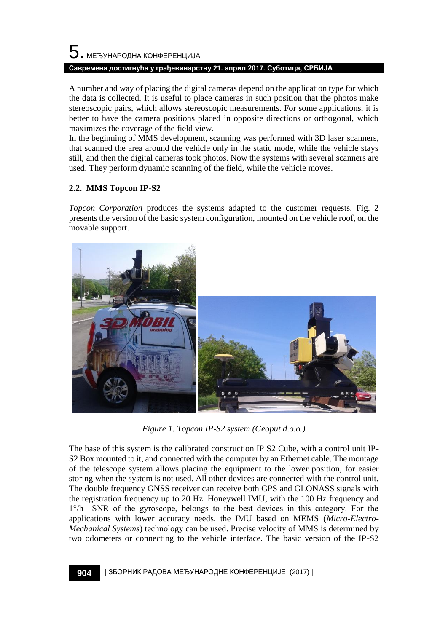# $5$ . међународна конференција **Савремена достигнућа у грађевинарству 21. април 2017. Суботица, СРБИЈА**

A number and way of placing the digital cameras depend on the application type for which the data is collected. It is useful to place cameras in such position that the photos make stereoscopic pairs, which allows stereoscopic measurements. For some applications, it is better to have the camera positions placed in opposite directions or orthogonal, which maximizes the coverage of the field view.

In the beginning of MMS development, scanning was performed with 3D laser scanners, that scanned the area around the vehicle only in the static mode, while the vehicle stays still, and then the digital cameras took photos. Now the systems with several scanners are used. They perform dynamic scanning of the field, while the vehicle moves.

# **2.2. MMS Topcon IP-S2**

*Topcon Corporation* produces the systems adapted to the customer requests. Fig. 2 presents the version of the basic system configuration, mounted on the vehicle roof, on the movable support.



*Figure 1. Topcon IP-S2 system (Geoput d.o.o.)*

The base of this system is the calibrated construction IP S2 Cube, with a control unit IP-S2 Box mounted to it, and connected with the computer by an Ethernet cable. The montage of the telescope system allows placing the equipment to the lower position, for easier storing when the system is not used. All other devices are connected with the control unit. The double frequency GNSS receiver can receive both GPS and GLONASS signals with the registration frequency up to 20 Hz. Honeywell IMU, with the 100 Hz frequency and 1°/h SNR of the gyroscope, belongs to the best devices in this category. For the applications with lower accuracy needs, the IMU based on MEMS (*Micro-Electro-Mechanical Systems*) technology can be used. Precise velocity of MMS is determined by two odometers or connecting to the vehicle interface. The basic version of the IP-S2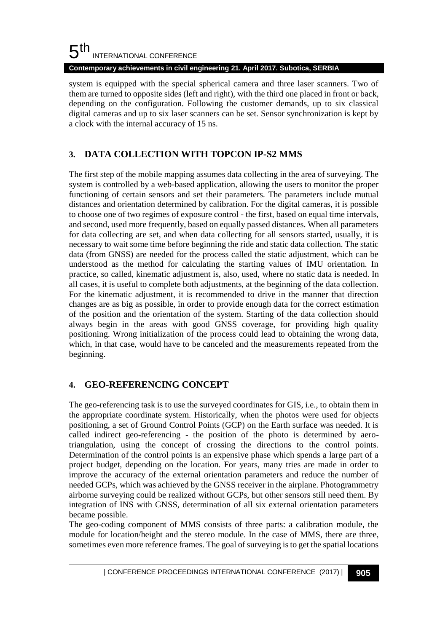#### 5 th INTERNATIONAL CONFERENCE

**Contemporary achievements in civil engineering 21. April 2017. Subotica, SERBIA**

system is equipped with the special spherical camera and three laser scanners. Two of them are turned to opposite sides (left and right), with the third one placed in front or back, depending on the configuration. Following the customer demands, up to six classical digital cameras and up to six laser scanners can be set. Sensor synchronization is kept by a clock with the internal accuracy of 15 ns.

# **3. DATA COLLECTION WITH TOPCON IP-S2 MMS**

The first step of the mobile mapping assumes data collecting in the area of surveying. The system is controlled by a web-based application, allowing the users to monitor the proper functioning of certain sensors and set their parameters. The parameters include mutual distances and orientation determined by calibration. For the digital cameras, it is possible to choose one of two regimes of exposure control - the first, based on equal time intervals, and second, used more frequently, based on equally passed distances. When all parameters for data collecting are set, and when data collecting for all sensors started, usually, it is necessary to wait some time before beginning the ride and static data collection. The static data (from GNSS) are needed for the process called the static adjustment, which can be understood as the method for calculating the starting values of IMU orientation. In practice, so called, kinematic adjustment is, also, used, where no static data is needed. In all cases, it is useful to complete both adjustments, at the beginning of the data collection. For the kinematic adjustment, it is recommended to drive in the manner that direction changes are as big as possible, in order to provide enough data for the correct estimation of the position and the orientation of the system. Starting of the data collection should always begin in the areas with good GNSS coverage, for providing high quality positioning. Wrong initialization of the process could lead to obtaining the wrong data, which, in that case, would have to be canceled and the measurements repeated from the beginning.

# **4. GEO-REFERENCING CONCEPT**

The geo-referencing task is to use the surveyed coordinates for GIS, i.e., to obtain them in the appropriate coordinate system. Historically, when the photos were used for objects positioning, a set of Ground Control Points (GCP) on the Earth surface was needed. It is called indirect geo-referencing - the position of the photo is determined by aerotriangulation, using the concept of crossing the directions to the control points. Determination of the control points is an expensive phase which spends a large part of a project budget, depending on the location. For years, many tries are made in order to improve the accuracy of the external orientation parameters and reduce the number of needed GCPs, which was achieved by the GNSS receiver in the airplane. Photogrammetry airborne surveying could be realized without GCPs, but other sensors still need them. By integration of INS with GNSS, determination of all six external orientation parameters became possible.

The geo-coding component of MMS consists of three parts: a calibration module, the module for location/height and the stereo module. In the case of MMS, there are three, sometimes even more reference frames. The goal of surveying is to get the spatial locations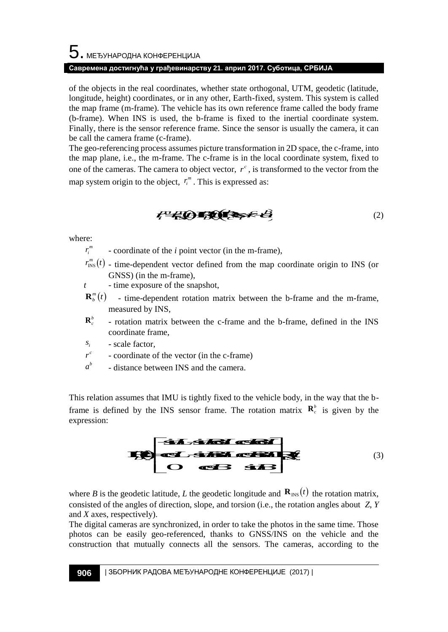# ${\bf 5}$  . МЕЂУНАРОДНА КОНФЕРЕНЦИЈА **Савремена достигнућа у грађевинарству 21. април 2017. Суботица, СРБИЈА**

of the objects in the real coordinates, whether state orthogonal, UTM, geodetic (latitude, longitude, height) coordinates, or in any other, Earth-fixed, system. This system is called the map frame (m-frame). The vehicle has its own reference frame called the body frame (b-frame). When INS is used, the b-frame is fixed to the inertial coordinate system. Finally, there is the sensor reference frame. Since the sensor is usually the camera, it can be call the camera frame (c-frame). **10EPEHILIVIA**<br> **10ENDEMBROM DV2 REINDIT POITACY CONTINUS (CONTINUS CONTINUS)**<br> **continuates,** or in any other state orthogonal, UTM, goodstic (latitude,<br>
10. The vehicle has its own reference frame called the body frame<br> EPEHILMA<br>
EPEHILMA<br>
EPEHILMA<br>
EDENTIFIES AND INTERT AND CONSULTED CONSULTS (SO THE TATH THAT ART CHAT FIRS AND THE TRIME TRIME TO THE TATH THAT STRED TO THE STRED TO THE THE STRED (TO EXCEPT FIRE THE THE THE THE THE STRED **EFERIQUARE THE CONSULTERATION**<br> **CONSULTERATION**<br> **CONSULTERATION**<br> **CONSULTERATION**<br> **CONSULTERATION**<br> **CONSULTERATION**<br> **CONSULTERATION**<br> **CONSULTERATION**<br> **CONSULTERATION**<br> **CONSULTERATION**<br> **CONSULTERATION**<br> **CONSULT** EPEHIJAJA<br>
EPEHIJAJA<br>
ENGINEENC whether state orthological, UTM, geodesic (latitude,<br>
Denominates, where state orthological, UTM, geodesic (latitude,<br>
the vehicle has it so we reference frame called the body frame.<br>
EFRON EHIRAIA<br> **EHIRAIA**<br> **EHIRAIA**<br> **EHIRAIA ETAIN-BROON (THAT, ENCEDITAL ECONDATION)**<br> **LAT CONDITATION CONDITATION** (THE SURVEY THE SURVEY UNITS (THE CHIRAIA END WITH THE UNITS (THE CHIRAIA END USE UNITS USED)<br> **LAT CONDITAT EXPLORE THE ANDALUATION**<br> **EXPLORE THE ANDALUSE THE AND THE AND TRANSPARED THE AND TRANSPARED THE AND TRANSPARED THE UNITS SYSTEM IS CONDITION SO THE UNITS SYSTEM IS CONDITION S is used, the b-frame is fixed to the inert Example 120** appear 2017. Cydioryond, CPEMA<br> **B** B B A B Owner To the Controllect Control (direct state is state of the control conduct Example 2018 and the b a B B B B Conce Controllect the Section conduct the Section a **HORE-HUALA**<br> **EXPLORATE:** Containes, whether state orthogonal CITM, geodesic distinues,<br>
mates, or in any other. Earth-free, styres. This yestem is calculated<br>
in state, the b-frame is first to the increasing state.<br>
In **Olloe:FED HIMAS**<br> **SUBDORIDE:**  $\vec{v}$  and  $\vec{v}$  and  $\vec{v}$  and  $\vec{v}$  and  $\vec{v}$  and  $\vec{v}$  and  $\vec{v}$  and  $\vec{v}$  and  $\vec{v}$  and  $\vec{v}$  and  $\vec{v}$  and  $\vec{v}$  and  $\vec{v}$  and  $\vec{v}$  and  $\vec{v}$  and  $\vec{v}$  a to constraint the control of the control of the control of the photon and the control of the any control of the control of the control of the control of the control of the control of the control of the control of the con stectro Highla<br>
scripture in the product of the priori Find, term is special to conditions,<br>
note that the contribute of the find, special to the holdy frame<br>
in weak the b-frame is fixed to the incriting of the priori ca **EVALUARY CONSULTS AND AN EXECUTION CENTRAL CONSULTS AND AN EXECUTION OF A CONDITIONAL CONSULTS AND CONDITIONAL CONSULTS AND CONDITIONAL CONSULTS AND CONDITIONAL CONSULTS AND CONDITIONAL CONSULTS AND CONSULTS AND CONSULTS** 

The geo-referencing process assumes picture transformation in 2D space, the c-frame, into the map plane, i.e., the m-frame. The c-frame is in the local coordinate system, fixed to one of the cameras. The camera to object vector,  $r^c$ , is transformed to the vector from the map system origin to the object,  $r_i^m$ . This is expressed as: *rap plane, i.e., the m-name. The*<br>of the cameras. The camera to objects  $r_i^m$ . T<br>system origin to the object,  $r_i^m$ . T<br> $r_i^m$  - coordinate of the *i* point v<br> $r_{\text{NS}}^m(t)$  - time-dependent vector d<br>GNSS) (in the m-fram

$$
F^2 \left( \bigcirc \right) = \bigcirc \left( \bigcirc \right) = \bigcirc \left( \bigcirc \right)
$$
 (2)

where:

- $r_i^m$  coordinate of the *i* point vector (in the m-frame),
- $\lim_{N \to \infty}$  (*t*) time-dependent vector defined from the map coordinate origin to INS (or GNSS) (in the m-frame),
- *t* time exposure of the snapshot,
- $\mathbf{R}_{b}^{m}(t)$  time-dependent rotation matrix between the b-frame and the m-frame, measured by INS,
- $\mathbf{R}_{c}^{b}$  rotation matrix between the c-frame and the b-frame, defined in the INS coordinate frame,
- $s_i$  scale factor,
- $r^c$  coordinate of the vector (in the c-frame)
- *b a* distance between INS and the camera.

This relation assumes that IMU is tightly fixed to the vehicle body, in the way that the bframe is defined by the INS sensor frame. The rotation matrix  $\mathbf{R}_c^b$  is given by the expression:



where *B* is the geodetic latitude, *L* the geodetic longitude and  $\mathbf{R}_{\text{INS}}(t)$  the rotation matrix, consisted of the angles of direction, slope, and torsion (i.e., the rotation angles about *Z*, *Y* and *X* axes, respectively).

The digital cameras are synchronized, in order to take the photos in the same time. Those photos can be easily geo-referenced, thanks to GNSS/INS on the vehicle and the construction that mutually connects all the sensors. The cameras, according to the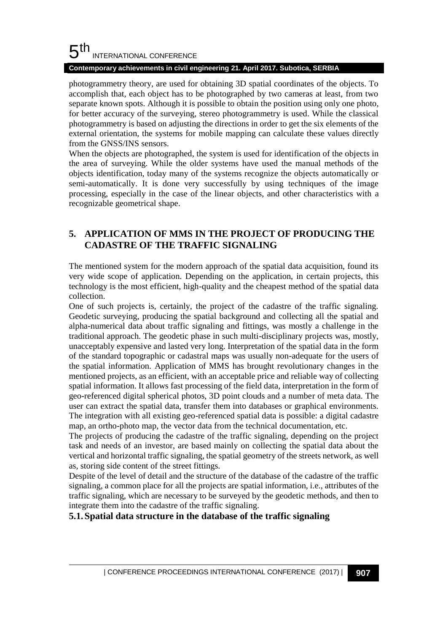#### 5 th INTERNATIONAL CONFERENCE

### **Contemporary achievements in civil engineering 21. April 2017. Subotica, SERBIA**

photogrammetry theory, are used for obtaining 3D spatial coordinates of the objects. To accomplish that, each object has to be photographed by two cameras at least, from two separate known spots. Although it is possible to obtain the position using only one photo, for better accuracy of the surveying, stereo photogrammetry is used. While the classical photogrammetry is based on adjusting the directions in order to get the six elements of the external orientation, the systems for mobile mapping can calculate these values directly from the GNSS/INS sensors.

When the objects are photographed, the system is used for identification of the objects in the area of surveying. While the older systems have used the manual methods of the objects identification, today many of the systems recognize the objects automatically or semi-automatically. It is done very successfully by using techniques of the image processing, especially in the case of the linear objects, and other characteristics with a recognizable geometrical shape.

# **5. APPLICATION OF MMS IN THE PROJECT OF PRODUCING THE CADASTRE OF THE TRAFFIC SIGNALING**

The mentioned system for the modern approach of the spatial data acquisition, found its very wide scope of application. Depending on the application, in certain projects, this technology is the most efficient, high-quality and the cheapest method of the spatial data collection.

One of such projects is, certainly, the project of the cadastre of the traffic signaling. Geodetic surveying, producing the spatial background and collecting all the spatial and alpha-numerical data about traffic signaling and fittings, was mostly a challenge in the traditional approach. The geodetic phase in such multi-disciplinary projects was, mostly, unacceptably expensive and lasted very long. Interpretation of the spatial data in the form of the standard topographic or cadastral maps was usually non-adequate for the users of the spatial information. Application of MMS has brought revolutionary changes in the mentioned projects, as an efficient, with an acceptable price and reliable way of collecting spatial information. It allows fast processing of the field data, interpretation in the form of geo-referenced digital spherical photos, 3D point clouds and a number of meta data. The user can extract the spatial data, transfer them into databases or graphical environments. The integration with all existing geo-referenced spatial data is possible: a digital cadastre map, an ortho-photo map, the vector data from the technical documentation, etc.

The projects of producing the cadastre of the traffic signaling, depending on the project task and needs of an investor, are based mainly on collecting the spatial data about the vertical and horizontal traffic signaling, the spatial geometry of the streets network, as well as, storing side content of the street fittings.

Despite of the level of detail and the structure of the database of the cadastre of the traffic signaling, a common place for all the projects are spatial information, i.e., attributes of the traffic signaling, which are necessary to be surveyed by the geodetic methods, and then to integrate them into the cadastre of the traffic signaling.

### **5.1.Spatial data structure in the database of the traffic signaling**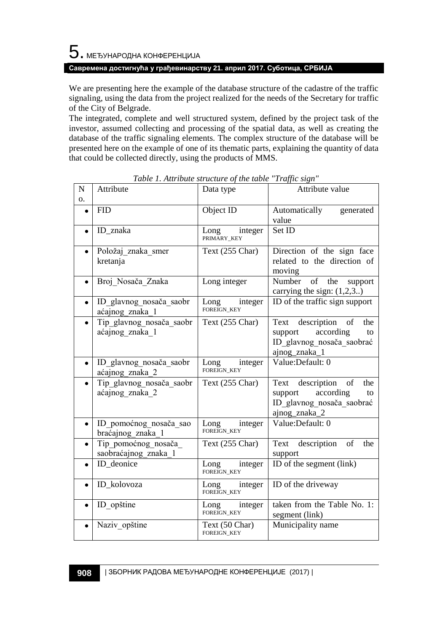### **Савремена достигнућа у грађевинарству 21. април 2017. Суботица, СРБИЈА**

We are presenting here the example of the database structure of the cadastre of the traffic signaling, using the data from the project realized for the needs of the Secretary for traffic of the City of Belgrade.

The integrated, complete and well structured system, defined by the project task of the investor, assumed collecting and processing of the spatial data, as well as creating the database of the traffic signaling elements. The complex structure of the database will be presented here on the example of one of its thematic parts, explaining the quantity of data that could be collected directly, using the products of MMS.

| N<br>о.   | Attribute                                   | Data type                             | Attribute value                                                                                           |
|-----------|---------------------------------------------|---------------------------------------|-----------------------------------------------------------------------------------------------------------|
| $\bullet$ | <b>FID</b>                                  | Object ID                             | Automatically<br>generated<br>value                                                                       |
|           | ID znaka                                    | Long in<br>integer                    | Set ID                                                                                                    |
| $\bullet$ | Položaj znaka smer<br>kretanja              | Text (255 Char)                       | Direction of the sign face<br>related to the direction of<br>moving                                       |
| $\bullet$ | Broj Nosača Znaka                           | Long integer                          | Number of<br>the<br>support<br>carrying the sign: $(1,2,3)$                                               |
| $\bullet$ | ID glavnog nosača saobr<br>aćajnog znaka 1  | integer<br>Long i<br>FOREIGN_KEY      | ID of the traffic sign support                                                                            |
|           | Tip_glavnog_nosača_saobr<br>aćajnog znaka 1 | Text (255 Char)                       | Text description<br>of<br>the<br>according<br>support<br>to<br>ID_glavnog_nosača_saobrać<br>ajnog_znaka_1 |
| $\bullet$ | ID glavnog nosača saobr<br>aćajnog znaka 2  | Long<br>integer<br><b>FOREIGN KEY</b> | Value:Default: 0                                                                                          |
|           | Tip glavnog nosača saobr<br>aćajnog znaka 2 | Text (255 Char)                       | Text description of<br>the<br>according<br>support<br>to<br>ID glavnog nosača saobrać<br>ajnog_znaka_2    |
| $\bullet$ | ID pomoćnog nosača sao<br>braćajnog znaka 1 | integer<br>Long<br><b>FOREIGN KEY</b> | Value:Default: 0                                                                                          |
|           | Tip pomoćnog nosača<br>saobraćajnog znaka 1 | Text (255 Char)                       | Text description<br>of<br>the<br>support                                                                  |
| $\bullet$ | ID deonice                                  | integer<br>Long i<br>FOREIGN_KEY      | ID of the segment (link)                                                                                  |
| $\bullet$ | ID_kolovoza                                 | Long<br>integer<br>FOREIGN_KEY        | ID of the driveway                                                                                        |
| $\bullet$ | ID opštine                                  | Long i<br>integer                     | taken from the Table No. 1:<br>segment (link)                                                             |
|           | Naziv opštine                               | Text (50 Char)<br><b>FOREIGN_KEY</b>  | Municipality name                                                                                         |

*Table 1. Attribute structure of the table "Traffic sign"*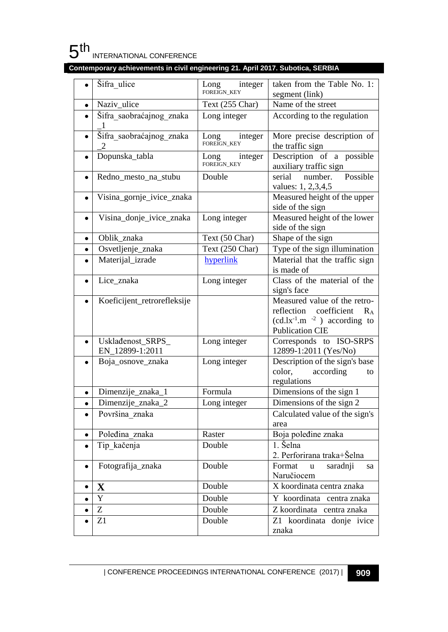

|           | Šifra ulice                          | integer<br>Long<br>FOREIGN_KEY | taken from the Table No. 1:<br>segment (link)                                                                                     |
|-----------|--------------------------------------|--------------------------------|-----------------------------------------------------------------------------------------------------------------------------------|
| $\bullet$ | Naziv_ulice                          | Text (255 Char)                | Name of the street                                                                                                                |
| $\bullet$ | Šifra saobraćajnog znaka             | Long integer                   | According to the regulation                                                                                                       |
| $\bullet$ | Šifra saobraćajnog znaka             | Long<br>integer<br>FOREIGN_KEY | More precise description of<br>the traffic sign                                                                                   |
| $\bullet$ | Dopunska_tabla                       | Long integer<br>FOREIGN_KEY    | Description of a possible<br>auxiliary traffic sign                                                                               |
| $\bullet$ | Redno_mesto_na_stubu                 | Double                         | Possible<br>serial<br>number.<br>values: 1, 2,3,4,5                                                                               |
| $\bullet$ | Visina_gornje_ivice_znaka            |                                | Measured height of the upper<br>side of the sign                                                                                  |
| $\bullet$ | Visina_donje_ivice_znaka             | Long integer                   | Measured height of the lower<br>side of the sign                                                                                  |
| ٠         | Oblik_znaka                          | Text (50 Char)                 | Shape of the sign                                                                                                                 |
| $\bullet$ | Osvetljenje_znaka                    | Text (250 Char)                | Type of the sign illumination                                                                                                     |
| $\bullet$ | Materijal_izrade                     | hyperlink                      | Material that the traffic sign<br>is made of                                                                                      |
|           | Lice znaka                           | Long integer                   | Class of the material of the<br>sign's face                                                                                       |
|           | Koeficijent_retrorefleksije          |                                | Measured value of the retro-<br>reflection coefficient<br>$R_{A}$<br>$(cd.lx^{-1}.m^{-2})$ according to<br><b>Publication CIE</b> |
| $\bullet$ | Uskladenost_SRPS_<br>EN_12899-1:2011 | Long integer                   | Corresponds to ISO-SRPS<br>12899-1:2011 (Yes/No)                                                                                  |
|           | Boja_osnove_znaka                    | Long integer                   | Description of the sign's base<br>color,<br>according<br>to<br>regulations                                                        |
| $\bullet$ | Dimenzije_znaka_1                    | Formula                        | Dimensions of the sign 1                                                                                                          |
| $\bullet$ | Dimenzije_znaka_2                    | Long integer                   | Dimensions of the sign 2                                                                                                          |
| $\bullet$ | Površina znaka                       |                                | Calculated value of the sign's<br>area                                                                                            |
|           | Poleđina znaka                       | Raster                         | Boja poleđine znaka                                                                                                               |
|           | Tip kačenja                          | Double                         | 1. Šelna<br>2. Perforirana traka+Šelna                                                                                            |
|           | Fotografija_znaka                    | Double                         | Format u saradnji<br>sa<br>Naručiocem                                                                                             |
| $\bullet$ | $\mathbf X$                          | Double                         | X koordinata centra znaka                                                                                                         |
| $\bullet$ | Y                                    | Double                         | Y koordinata centra znaka                                                                                                         |
| $\bullet$ | Z                                    | Double                         | Z koordinata centra znaka                                                                                                         |
| $\bullet$ | $\rm Z1$                             | Double                         | Z1 koordinata donje ivice<br>znaka                                                                                                |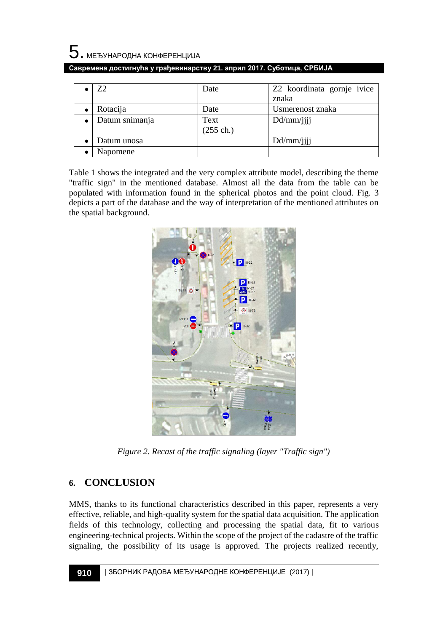

|  | , Савремена достигнућа у грађевинарству 21. април 2017. Суботица, СРБИЈА I |  |
|--|----------------------------------------------------------------------------|--|
|  |                                                                            |  |

| Z2             | Date                        | Z2 koordinata gornje ivice<br>znaka |
|----------------|-----------------------------|-------------------------------------|
|                |                             |                                     |
| Rotacija       | Date                        | Usmerenost znaka                    |
| Datum snimanja | Text<br>$(255 \text{ ch.})$ | Dd/mm/                              |
| Datum unosa    |                             | Dd/mm/                              |
| Napomene       |                             |                                     |

Table 1 shows the integrated and the very complex attribute model, describing the theme "traffic sign" in the mentioned database. Almost all the data from the table can be populated with information found in the spherical photos and the point cloud. Fig. 3 depicts a part of the database and the way of interpretation of the mentioned attributes on the spatial background.



*Figure 2. Recast of the traffic signaling (layer "Traffic sign")*

# **6. CONCLUSION**

MMS, thanks to its functional characteristics described in this paper, represents a very effective, reliable, and high-quality system for the spatial data acquisition. The application fields of this technology, collecting and processing the spatial data, fit to various engineering-technical projects. Within the scope of the project of the cadastre of the traffic signaling, the possibility of its usage is approved. The projects realized recently,